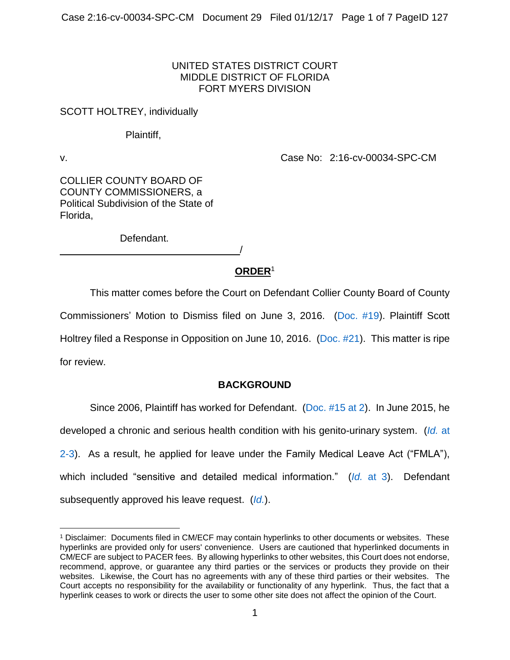## UNITED STATES DISTRICT COURT MIDDLE DISTRICT OF FLORIDA FORT MYERS DIVISION

## SCOTT HOLTREY, individually

## Plaintiff,

 $\overline{a}$ 

v. Case No: 2:16-cv-00034-SPC-CM

COLLIER COUNTY BOARD OF COUNTY COMMISSIONERS, a Political Subdivision of the State of Florida,

Defendant.

/

# **ORDER**<sup>1</sup>

This matter comes before the Court on Defendant Collier County Board of County Commissioners' Motion to Dismiss filed on June 3, 2016. [\(Doc. #19\)](https://ecf.flmd.uscourts.gov/doc1/047116120893). Plaintiff Scott Holtrey filed a Response in Opposition on June 10, 2016. [\(Doc. #21\)](https://ecf.flmd.uscourts.gov/doc1/047116149989). This matter is ripe for review.

# **BACKGROUND**

Since 2006, Plaintiff has worked for Defendant. [\(Doc. #15 at 2\)](https://ecf.flmd.uscourts.gov/doc1/047116036959?page=2). In June 2015, he developed a chronic and serious health condition with his genito-urinary system. (*[Id.](https://ecf.flmd.uscourts.gov/doc1/047116036959?page=2)* at [2-3\)](https://ecf.flmd.uscourts.gov/doc1/047116036959?page=2). As a result, he applied for leave under the Family Medical Leave Act ("FMLA"), which included "sensitive and detailed medical information." (*Id.* [at 3\)](https://ecf.flmd.uscourts.gov/doc1/047116036959?page=3). Defendant subsequently approved his leave request. (*[Id.](https://ecf.flmd.uscourts.gov/doc1/047116036959?page=3)*).

<sup>1</sup> Disclaimer: Documents filed in CM/ECF may contain hyperlinks to other documents or websites. These hyperlinks are provided only for users' convenience. Users are cautioned that hyperlinked documents in CM/ECF are subject to PACER fees. By allowing hyperlinks to other websites, this Court does not endorse, recommend, approve, or guarantee any third parties or the services or products they provide on their websites. Likewise, the Court has no agreements with any of these third parties or their websites. The Court accepts no responsibility for the availability or functionality of any hyperlink. Thus, the fact that a hyperlink ceases to work or directs the user to some other site does not affect the opinion of the Court.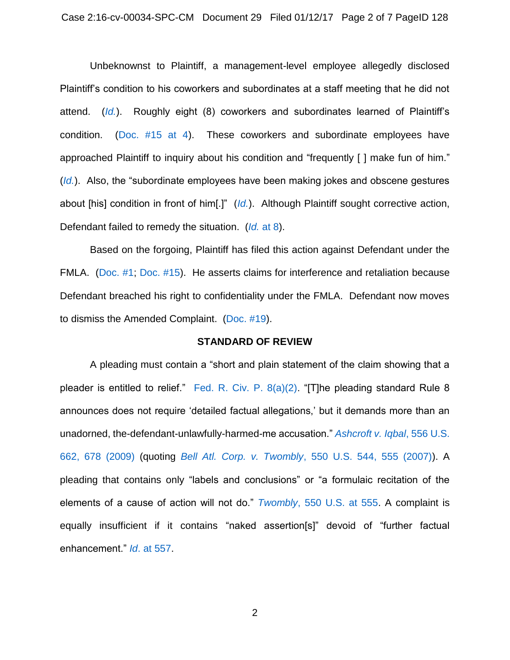Unbeknownst to Plaintiff, a management-level employee allegedly disclosed Plaintiff's condition to his coworkers and subordinates at a staff meeting that he did not attend. (*[Id.](https://ecf.flmd.uscourts.gov/doc1/047116036959?page=3)*). Roughly eight (8) coworkers and subordinates learned of Plaintiff's condition. [\(Doc. #15 at 4\)](https://ecf.flmd.uscourts.gov/doc1/047116036959?page=4). These coworkers and subordinate employees have approached Plaintiff to inquiry about his condition and "frequently [ ] make fun of him." (*[Id.](https://ecf.flmd.uscourts.gov/doc1/047116036959?page=4)*). Also, the "subordinate employees have been making jokes and obscene gestures about [his] condition in front of him[.]" (*[Id.](https://ecf.flmd.uscourts.gov/doc1/047116036959?page=4)*). Although Plaintiff sought corrective action, Defendant failed to remedy the situation. (*Id.* [at 8\)](https://ecf.flmd.uscourts.gov/doc1/047116036959?page=8).

Based on the forgoing, Plaintiff has filed this action against Defendant under the FMLA. [\(Doc. #1;](https://ecf.flmd.uscourts.gov/doc1/047015592100) [Doc. #15\)](https://ecf.flmd.uscourts.gov/doc1/047116036959). He asserts claims for interference and retaliation because Defendant breached his right to confidentiality under the FMLA. Defendant now moves to dismiss the Amended Complaint. [\(Doc. #19\)](https://ecf.flmd.uscourts.gov/doc1/047116120893).

#### **STANDARD OF REVIEW**

A pleading must contain a "short and plain statement of the claim showing that a pleader is entitled to relief." Fed. R. Civ. P.  $8(a)(2)$ . "[T]he pleading standard Rule 8 announces does not require 'detailed factual allegations,' but it demands more than an unadorned, the-defendant-unlawfully-harmed-me accusation." *[Ashcroft v. Iqbal](https://www.westlaw.com/Document/I90623386439011de8bf6cd8525c41437/View/FullText.html?transitionType=Default&contextData=(sc.Default)&VR=3.0&RS=da3.0&fragmentIdentifier=co_pp_sp_780_678)*, 556 U.S. [662, 678 \(2009\)](https://www.westlaw.com/Document/I90623386439011de8bf6cd8525c41437/View/FullText.html?transitionType=Default&contextData=(sc.Default)&VR=3.0&RS=da3.0&fragmentIdentifier=co_pp_sp_780_678) (quoting *Bell Atl. Corp. v. Twombly*[, 550 U.S. 544, 555 \(2007\)\)](https://www.westlaw.com/Document/Ib53eb62e07a011dcb035bac3a32ef289/View/FullText.html?transitionType=Default&contextData=(sc.Default)&VR=3.0&RS=da3.0&fragmentIdentifier=co_pp_sp_780_555). A pleading that contains only "labels and conclusions" or "a formulaic recitation of the elements of a cause of action will not do." *Twombly*[, 550 U.S. at 555.](https://www.westlaw.com/Document/Ib53eb62e07a011dcb035bac3a32ef289/View/FullText.html?transitionType=Default&contextData=(sc.Default)&VR=3.0&RS=da3.0&fragmentIdentifier=co_pp_sp_780_555) A complaint is equally insufficient if it contains "naked assertion[s]" devoid of "further factual enhancement." *Id*[. at 557.](https://www.westlaw.com/Document/Ib53eb62e07a011dcb035bac3a32ef289/View/FullText.html?transitionType=Default&contextData=(sc.Default)&VR=3.0&RS=da3.0&fragmentIdentifier=co_pp_sp_780_557)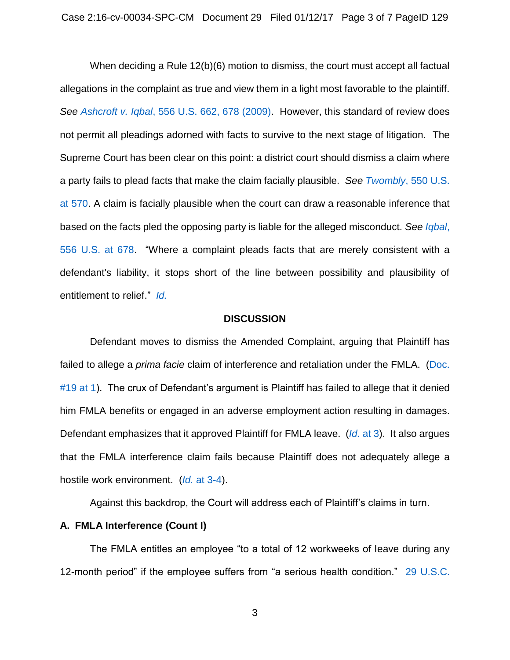When deciding a Rule 12(b)(6) motion to dismiss, the court must accept all factual allegations in the complaint as true and view them in a light most favorable to the plaintiff. *See Ashcroft v. Iqbal*[, 556 U.S. 662, 678 \(2009\).](https://www.westlaw.com/Document/I90623386439011de8bf6cd8525c41437/View/FullText.html?transitionType=Default&contextData=(sc.Default)&VR=3.0&RS=da3.0&fragmentIdentifier=co_pp_sp_780_678) However, this standard of review does not permit all pleadings adorned with facts to survive to the next stage of litigation. The Supreme Court has been clear on this point: a district court should dismiss a claim where a party fails to plead facts that make the claim facially plausible. *See Twombly*[, 550 U.S.](https://www.westlaw.com/Document/Ib53eb62e07a011dcb035bac3a32ef289/View/FullText.html?transitionType=Default&contextData=(sc.Default)&VR=3.0&RS=da3.0&fragmentIdentifier=co_pp_sp_780_570)  [at 570.](https://www.westlaw.com/Document/Ib53eb62e07a011dcb035bac3a32ef289/View/FullText.html?transitionType=Default&contextData=(sc.Default)&VR=3.0&RS=da3.0&fragmentIdentifier=co_pp_sp_780_570) A claim is facially plausible when the court can draw a reasonable inference that based on the facts pled the opposing party is liable for the alleged misconduct. *See [Iqbal](https://www.westlaw.com/Document/I90623386439011de8bf6cd8525c41437/View/FullText.html?transitionType=Default&contextData=(sc.Default)&VR=3.0&RS=da3.0&fragmentIdentifier=co_pp_sp_780_678)*, [556 U.S. at 678.](https://www.westlaw.com/Document/I90623386439011de8bf6cd8525c41437/View/FullText.html?transitionType=Default&contextData=(sc.Default)&VR=3.0&RS=da3.0&fragmentIdentifier=co_pp_sp_780_678) "Where a complaint pleads facts that are merely consistent with a defendant's liability, it stops short of the line between possibility and plausibility of entitlement to relief." *[Id.](https://www.westlaw.com/Document/I90623386439011de8bf6cd8525c41437/View/FullText.html?transitionType=Default&contextData=(sc.Default)&VR=3.0&RS=da3.0)*

#### **DISCUSSION**

Defendant moves to dismiss the Amended Complaint, arguing that Plaintiff has failed to allege a *prima facie* claim of interference and retaliation under the FMLA. [\(Doc.](https://ecf.flmd.uscourts.gov/doc1/047116120893?page=1)  [#19 at 1\)](https://ecf.flmd.uscourts.gov/doc1/047116120893?page=1). The crux of Defendant's argument is Plaintiff has failed to allege that it denied him FMLA benefits or engaged in an adverse employment action resulting in damages. Defendant emphasizes that it approved Plaintiff for FMLA leave. (*Id.* [at 3\)](https://ecf.flmd.uscourts.gov/doc1/047116120893?page=3). It also argues that the FMLA interference claim fails because Plaintiff does not adequately allege a hostile work environment. (*Id.* [at 3-4\)](https://ecf.flmd.uscourts.gov/doc1/047116120893?page=3).

Against this backdrop, the Court will address each of Plaintiff's claims in turn.

### **A. FMLA Interference (Count I)**

The FMLA entitles an employee "to a total of 12 workweeks of leave during any 12-month period" if the employee suffers from "a serious health condition." 29 [U.S.C.](https://www.westlaw.com/Document/N73D5A610EFEE11DEB5BDFA67C894AE32/View/FullText.html?transitionType=Default&contextData=(sc.Default)&VR=3.0&RS=da3.0)

3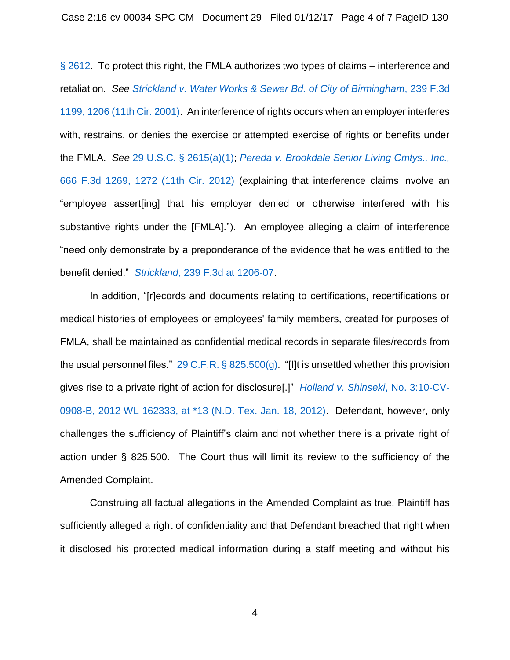[§ 2612.](https://www.westlaw.com/Document/N73D5A610EFEE11DEB5BDFA67C894AE32/View/FullText.html?transitionType=Default&contextData=(sc.Default)&VR=3.0&RS=da3.0) To protect this right, the FMLA authorizes two types of claims – interference and retaliation. *See [Strickland v. Water Works & Sewer Bd. of City of Birmingham](https://www.westlaw.com/Document/Ib69a7a28799711d9bf29e2067ad74e5b/View/FullText.html?transitionType=Default&contextData=(sc.Default)&VR=3.0&RS=da3.0&fragmentIdentifier=co_pp_sp_506_1206)*, 239 F.3d [1199, 1206 \(11th Cir. 2001\).](https://www.westlaw.com/Document/Ib69a7a28799711d9bf29e2067ad74e5b/View/FullText.html?transitionType=Default&contextData=(sc.Default)&VR=3.0&RS=da3.0&fragmentIdentifier=co_pp_sp_506_1206) An interference of rights occurs when an employer interferes with, restrains, or denies the exercise or attempted exercise of rights or benefits under the FMLA. *See* [29 U.S.C. § 2615\(a\)\(1\);](https://www.westlaw.com/Document/NB6E42EA0AFF711D8803AE0632FEDDFBF/View/FullText.html?transitionType=Default&contextData=(sc.Default)&VR=3.0&RS=da3.0) *[Pereda v. Brookdale Senior Living Cmtys., Inc.,](https://www.westlaw.com/Document/Iecd727e43b8811e1aa95d4e04082c730/View/FullText.html?transitionType=Default&contextData=(sc.Default)&VR=3.0&RS=da3.0&fragmentIdentifier=co_pp_sp_506_1272)* [666 F.3d 1269, 1272 \(11th Cir. 2012\)](https://www.westlaw.com/Document/Iecd727e43b8811e1aa95d4e04082c730/View/FullText.html?transitionType=Default&contextData=(sc.Default)&VR=3.0&RS=da3.0&fragmentIdentifier=co_pp_sp_506_1272) (explaining that interference claims involve an "employee assert[ing] that his employer denied or otherwise interfered with his substantive rights under the [FMLA]."). An employee alleging a claim of interference "need only demonstrate by a preponderance of the evidence that he was entitled to the benefit denied." *Strickland*[, 239 F.3d at 1206-07.](https://www.westlaw.com/Document/Ib69a7a28799711d9bf29e2067ad74e5b/View/FullText.html?transitionType=Default&contextData=(sc.Default)&VR=3.0&RS=da3.0&fragmentIdentifier=co_pp_sp_506_1206)

In addition, "[r]ecords and documents relating to certifications, recertifications or medical histories of employees or employees' family members, created for purposes of FMLA, shall be maintained as confidential medical records in separate files/records from the usual personnel files."  $29 \text{ C.F.R.}$  § 825.500(g). "[I]t is unsettled whether this provision gives rise to a private right of action for disclosure[.]" *[Holland v. Shinseki](https://www.westlaw.com/Document/Ib05c7c8b436311e1aa95d4e04082c730/View/FullText.html?transitionType=Default&contextData=(sc.Default)&VR=3.0&RS=da3.0&fragmentIdentifier=co_pp_sp_999_13)*, No. 3:10-CV-[0908-B, 2012 WL 162333, at \\*13 \(N.D. Tex. Jan. 18, 2012\).](https://www.westlaw.com/Document/Ib05c7c8b436311e1aa95d4e04082c730/View/FullText.html?transitionType=Default&contextData=(sc.Default)&VR=3.0&RS=da3.0&fragmentIdentifier=co_pp_sp_999_13) Defendant, however, only challenges the sufficiency of Plaintiff's claim and not whether there is a private right of action under § 825.500. The Court thus will limit its review to the sufficiency of the Amended Complaint.

Construing all factual allegations in the Amended Complaint as true, Plaintiff has sufficiently alleged a right of confidentiality and that Defendant breached that right when it disclosed his protected medical information during a staff meeting and without his

4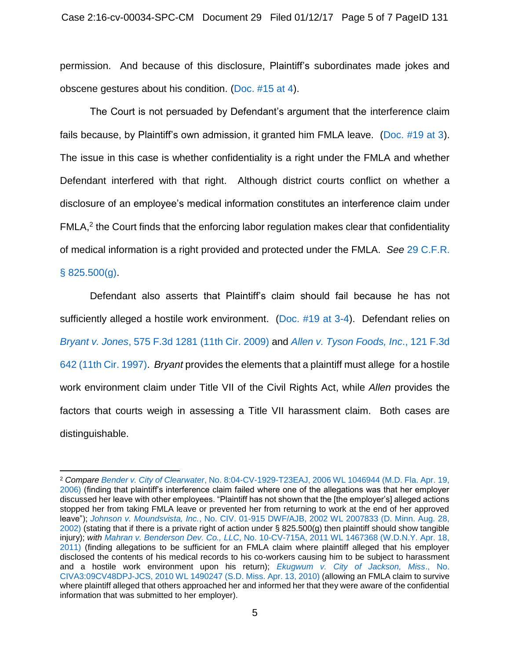permission. And because of this disclosure, Plaintiff's subordinates made jokes and obscene gestures about his condition. [\(Doc. #15 at 4\)](https://ecf.flmd.uscourts.gov/doc1/047116036959?page=4).

The Court is not persuaded by Defendant's argument that the interference claim fails because, by Plaintiff's own admission, it granted him FMLA leave. [\(Doc. #19 at 3\)](https://ecf.flmd.uscourts.gov/doc1/047116120893?page=3). The issue in this case is whether confidentiality is a right under the FMLA and whether Defendant interfered with that right. Although district courts conflict on whether a disclosure of an employee's medical information constitutes an interference claim under  $FMLA<sub>1</sub><sup>2</sup>$  the Court finds that the enforcing labor regulation makes clear that confidentiality of medical information is a right provided and protected under the FMLA. *See* [29 C.F.R.](https://www.westlaw.com/Document/N9B8CD2F070E711E297CEB6BDAD03A32E/View/FullText.html?transitionType=Default&contextData=(sc.Default)&VR=3.0&RS=da3.0) 

### $§ 825.500(q).$

 $\overline{a}$ 

Defendant also asserts that Plaintiff's claim should fail because he has not sufficiently alleged a hostile work environment. [\(Doc. #19 at 3-4\)](https://ecf.flmd.uscourts.gov/doc1/047116120893?page=3). Defendant relies on *Bryant v. Jones*[, 575 F.3d 1281 \(11th Cir. 2009\)](https://www.westlaw.com/Document/If75609e17de411de9988d233d23fe599/View/FullText.html?transitionType=Default&contextData=(sc.Default)&VR=3.0&RS=da3.0) and *[Allen v. Tyson Foods, Inc](https://www.westlaw.com/Document/I024b9ca9942911d9bdd1cfdd544ca3a4/View/FullText.html?transitionType=Default&contextData=(sc.Default)&VR=3.0&RS=da3.0)*., 121 F.3d [642 \(11th Cir. 1997\).](https://www.westlaw.com/Document/I024b9ca9942911d9bdd1cfdd544ca3a4/View/FullText.html?transitionType=Default&contextData=(sc.Default)&VR=3.0&RS=da3.0) *Bryant* provides the elements that a plaintiff must allege for a hostile work environment claim under Title VII of the Civil Rights Act, while *Allen* provides the factors that courts weigh in assessing a Title VII harassment claim. Both cases are distinguishable.

<sup>2</sup> *Compare Bender v. City of Clearwater*[, No. 8:04-CV-1929-T23EAJ, 2006 WL 1046944 \(M.D. Fla. Apr. 19,](https://www.westlaw.com/Document/I2b859bedd17b11daa514dfb5bc366636/View/FullText.html?transitionType=Default&contextData=(sc.Default)&VR=3.0&RS=da3.0)  [2006\)](https://www.westlaw.com/Document/I2b859bedd17b11daa514dfb5bc366636/View/FullText.html?transitionType=Default&contextData=(sc.Default)&VR=3.0&RS=da3.0) (finding that plaintiff's interference claim failed where one of the allegations was that her employer discussed her leave with other employees. "Plaintiff has not shown that the [the employer's] alleged actions stopped her from taking FMLA leave or prevented her from returning to work at the end of her approved leave"); *Johnson v. Moundsvista, Inc.*[, No. CIV. 01-915 DWF/AJB, 2002 WL 2007833 \(D. Minn. Aug. 28,](https://www.westlaw.com/Document/If404d5e153f911d997e0acd5cbb90d3f/View/FullText.html?transitionType=Default&contextData=(sc.Default)&VR=3.0&RS=da3.0)  [2002\)](https://www.westlaw.com/Document/If404d5e153f911d997e0acd5cbb90d3f/View/FullText.html?transitionType=Default&contextData=(sc.Default)&VR=3.0&RS=da3.0) (stating that if there is a private right of action under  $\S$  825.500(g) then plaintiff should show tangible injury); *with Mahran v. Benderson Dev. Co., LLC*[, No. 10-CV-715A, 2011 WL 1467368 \(W.D.N.Y. Apr. 18,](https://www.westlaw.com/Document/I1d33fe6e6a8b11e0b63e897ab6fa6920/View/FullText.html?transitionType=Default&contextData=(sc.Default)&VR=3.0&RS=da3.0)  [2011\)](https://www.westlaw.com/Document/I1d33fe6e6a8b11e0b63e897ab6fa6920/View/FullText.html?transitionType=Default&contextData=(sc.Default)&VR=3.0&RS=da3.0) (finding allegations to be sufficient for an FMLA claim where plaintiff alleged that his employer disclosed the contents of his medical records to his co-workers causing him to be subject to harassment and a hostile work environment upon his return); *[Ekugwum v. City of Jackson, Miss](https://www.westlaw.com/Document/I719900c3488f11dfaad3d35f6227d4a8/View/FullText.html?transitionType=Default&contextData=(sc.Default)&VR=3.0&RS=da3.0)*., No. [CIVA3:09CV48DPJ-JCS, 2010 WL 1490247](https://www.westlaw.com/Document/I719900c3488f11dfaad3d35f6227d4a8/View/FullText.html?transitionType=Default&contextData=(sc.Default)&VR=3.0&RS=da3.0) (S.D. Miss. Apr. 13, 2010) (allowing an FMLA claim to survive where plaintiff alleged that others approached her and informed her that they were aware of the confidential information that was submitted to her employer).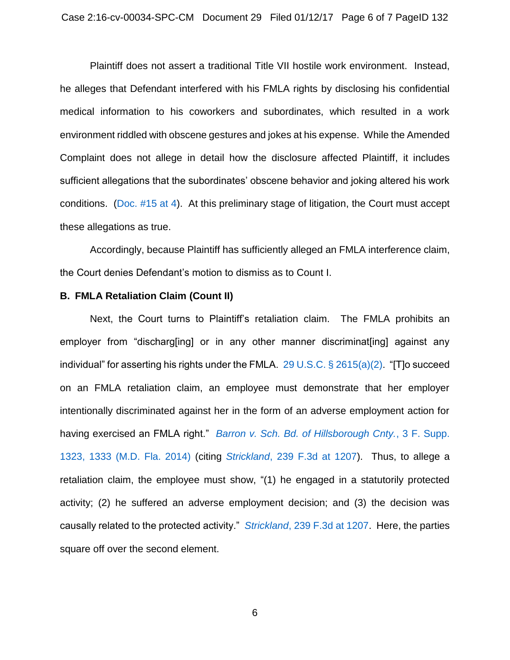Plaintiff does not assert a traditional Title VII hostile work environment. Instead, he alleges that Defendant interfered with his FMLA rights by disclosing his confidential medical information to his coworkers and subordinates, which resulted in a work environment riddled with obscene gestures and jokes at his expense. While the Amended Complaint does not allege in detail how the disclosure affected Plaintiff, it includes sufficient allegations that the subordinates' obscene behavior and joking altered his work conditions. [\(Doc. #15 at 4\)](https://ecf.flmd.uscourts.gov/doc1/047116036959?page=4). At this preliminary stage of litigation, the Court must accept these allegations as true.

Accordingly, because Plaintiff has sufficiently alleged an FMLA interference claim, the Court denies Defendant's motion to dismiss as to Count I.

#### **B. FMLA Retaliation Claim (Count II)**

Next, the Court turns to Plaintiff's retaliation claim. The FMLA prohibits an employer from "discharg[ing] or in any other manner discriminat[ing] against any individual" for asserting his rights under the FMLA. [29 U.S.C. §](https://www.westlaw.com/Document/NB6E42EA0AFF711D8803AE0632FEDDFBF/View/FullText.html?transitionType=Default&contextData=(sc.Default)&VR=3.0&RS=da3.0) 2615(a)(2). "[T]o succeed on an FMLA retaliation claim, an employee must demonstrate that her employer intentionally discriminated against her in the form of an adverse employment action for having exercised an FMLA right." *[Barron v. Sch. Bd. of Hillsborough Cnty.](https://www.westlaw.com/Document/I8329704d547811d997e0acd5cbb90d3f/View/FullText.html?transitionType=Default&contextData=(sc.Default)&VR=3.0&RS=da3.0&fragmentIdentifier=co_pp_sp_345_1333)*, 3 F. Supp. [1323, 1333 \(M.D. Fla. 2014\)](https://www.westlaw.com/Document/I8329704d547811d997e0acd5cbb90d3f/View/FullText.html?transitionType=Default&contextData=(sc.Default)&VR=3.0&RS=da3.0&fragmentIdentifier=co_pp_sp_345_1333) (citing *Strickland*[, 239 F.3d at 1207\)](https://www.westlaw.com/Document/Ib69a7a28799711d9bf29e2067ad74e5b/View/FullText.html?transitionType=Default&contextData=(sc.Default)&VR=3.0&RS=da3.0&fragmentIdentifier=co_pp_sp_506_1207). Thus, to allege a retaliation claim, the employee must show, "(1) he engaged in a statutorily protected activity; (2) he suffered an adverse employment decision; and (3) the decision was causally related to the protected activity." *Strickland*[, 239 F.3d](https://www.westlaw.com/Document/Ib69a7a28799711d9bf29e2067ad74e5b/View/FullText.html?transitionType=Default&contextData=(sc.Default)&VR=3.0&RS=da3.0&fragmentIdentifier=co_pp_sp_506_1207) at 1207. Here, the parties square off over the second element.